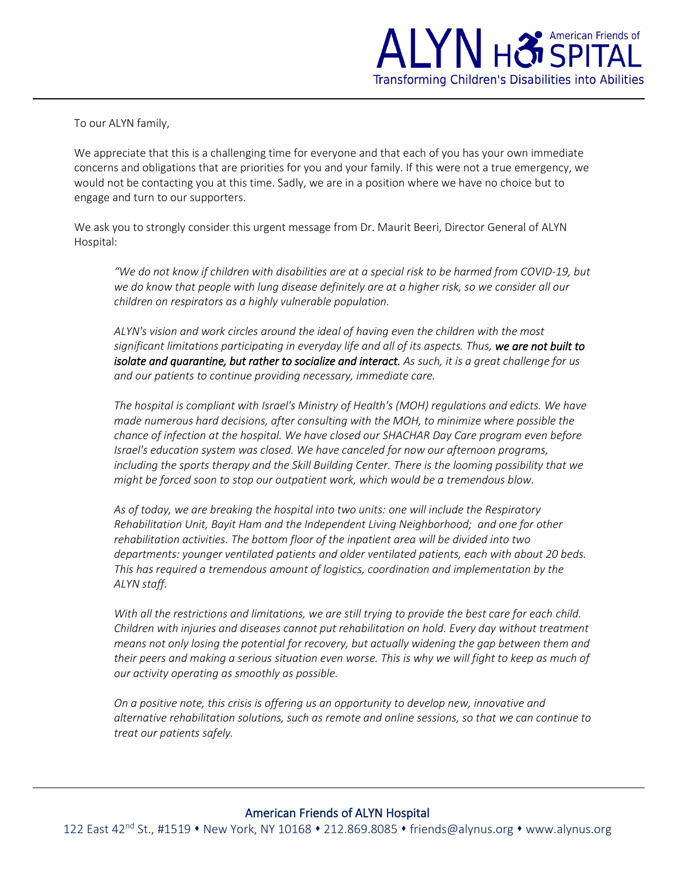

To our ALYN family,

We appreciate that this is a challenging time for everyone and that each of you has your own immediate concerns and obligations that are priorities for you and your family. If this were not a true emergency, we would not be contacting you at this time. Sadly, we are in a position where we have no choice but to engage and turn to our supporters.

We ask you to strongly consider this urgent message from Dr. Maurit Beeri, Director General of ALYN Hospital:

*"We do not know if children with disabilities are at a special risk to be harmed from COVID-19, but we do know that people with lung disease definitely are at a higher risk, so we consider all our children on respirators as a highly vulnerable population.*

*ALYN's vision and work circles around the ideal of having even the children with the most significant limitations participating in everyday life and all of its aspects. Thus, we are not built to isolate and quarantine, but rather to socialize and interact. As such, it is a great challenge for us and our patients to continue providing necessary, immediate care.*

*The hospital is compliant with Israel's Ministry of Health's (MOH) regulations and edicts. We have made numerous hard decisions, after consulting with the MOH, to minimize where possible the chance of infection at the hospital. We have closed our SHACHAR Day Care program even before Israel's education system was closed. We have canceled for now our afternoon programs, including the sports therapy and the Skill Building Center. There is the looming possibility that we might be forced soon to stop our outpatient work, which would be a tremendous blow.*

*As of today, we are breaking the hospital into two units: one will include the Respiratory Rehabilitation Unit, Bayit Ham and the Independent Living Neighborhood; and one for other rehabilitation activities. The bottom floor of the inpatient area will be divided into two departments: younger ventilated patients and older ventilated patients, each with about 20 beds. This has required a tremendous amount of logistics, coordination and implementation by the ALYN staff.*

*With all the restrictions and limitations, we are still trying to provide the best care for each child. Children with injuries and diseases cannot put rehabilitation on hold. Every day without treatment means not only losing the potential for recovery, but actually widening the gap between them and their peers and making a serious situation even worse. This is why we will fight to keep as much of our activity operating as smoothly as possible.*

*On a positive note, this crisis is offering us an opportunity to develop new, innovative and alternative rehabilitation solutions, such as remote and online sessions, so that we can continue to treat our patients safely.*